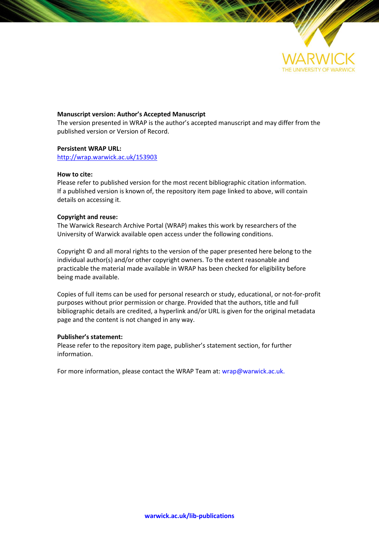

### **Manuscript version: Author's Accepted Manuscript**

The version presented in WRAP is the author's accepted manuscript and may differ from the published version or Version of Record.

### **Persistent WRAP URL:**

<http://wrap.warwick.ac.uk/153903>

### **How to cite:**

Please refer to published version for the most recent bibliographic citation information. If a published version is known of, the repository item page linked to above, will contain details on accessing it.

### **Copyright and reuse:**

The Warwick Research Archive Portal (WRAP) makes this work by researchers of the University of Warwick available open access under the following conditions.

Copyright © and all moral rights to the version of the paper presented here belong to the individual author(s) and/or other copyright owners. To the extent reasonable and practicable the material made available in WRAP has been checked for eligibility before being made available.

Copies of full items can be used for personal research or study, educational, or not-for-profit purposes without prior permission or charge. Provided that the authors, title and full bibliographic details are credited, a hyperlink and/or URL is given for the original metadata page and the content is not changed in any way.

### **Publisher's statement:**

Please refer to the repository item page, publisher's statement section, for further information.

For more information, please contact the WRAP Team at[: wrap@warwick.ac.uk.](mailto:wrap@warwick.ac.uk)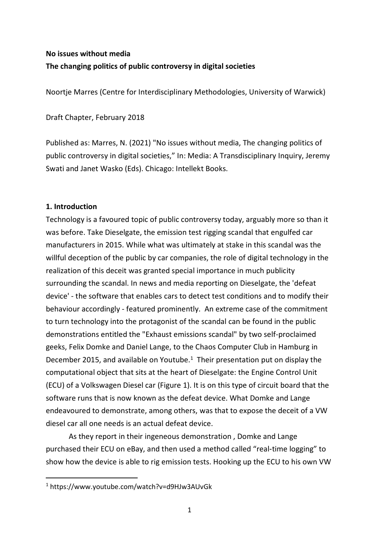# **No issues without media The changing politics of public controversy in digital societies**

Noortje Marres (Centre for Interdisciplinary Methodologies, University of Warwick)

Draft Chapter, February 2018

Published as: Marres, N. (2021) "No issues without media, The changing politics of public controversy in digital societies," In: Media: A Transdisciplinary Inquiry, Jeremy Swati and Janet Wasko (Eds). Chicago: Intellekt Books.

## **1. Introduction**

Technology is a favoured topic of public controversy today, arguably more so than it was before. Take Dieselgate, the emission test rigging scandal that engulfed car manufacturers in 2015. While what was ultimately at stake in this scandal was the willful deception of the public by car companies, the role of digital technology in the realization of this deceit was granted special importance in much publicity surrounding the scandal. In news and media reporting on Dieselgate, the 'defeat device' - the software that enables cars to detect test conditions and to modify their behaviour accordingly - featured prominently. An extreme case of the commitment to turn technology into the protagonist of the scandal can be found in the public demonstrations entitled the "Exhaust emissions scandal" by two self-proclaimed geeks, Felix Domke and Daniel Lange, to the Chaos Computer Club in Hamburg in December 2015, and available on Youtube.<sup>1</sup> Their presentation put on display the computational object that sits at the heart of Dieselgate: the Engine Control Unit (ECU) of a Volkswagen Diesel car (Figure 1). It is on this type of circuit board that the software runs that is now known as the defeat device. What Domke and Lange endeavoured to demonstrate, among others, was that to expose the deceit of a VW diesel car all one needs is an actual defeat device.

As they report in their ingeneous demonstration , Domke and Lange purchased their ECU on eBay, and then used a method called "real-time logging" to show how the device is able to rig emission tests. Hooking up the ECU to his own VW

 <sup>1</sup> https://www.youtube.com/watch?v=d9HJw3AUvGk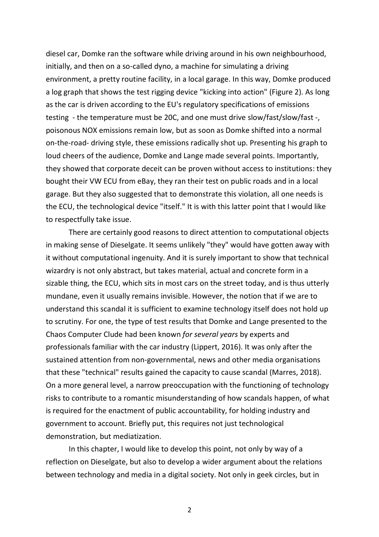diesel car, Domke ran the software while driving around in his own neighbourhood, initially, and then on a so-called dyno, a machine for simulating a driving environment, a pretty routine facility, in a local garage. In this way, Domke produced a log graph that shows the test rigging device "kicking into action" (Figure 2). As long as the car is driven according to the EU's regulatory specifications of emissions testing - the temperature must be 20C, and one must drive slow/fast/slow/fast -, poisonous NOX emissions remain low, but as soon as Domke shifted into a normal on-the-road- driving style, these emissions radically shot up. Presenting his graph to loud cheers of the audience, Domke and Lange made several points. Importantly, they showed that corporate deceit can be proven without access to institutions: they bought their VW ECU from eBay, they ran their test on public roads and in a local garage. But they also suggested that to demonstrate this violation, all one needs is the ECU, the technological device "itself." It is with this latter point that I would like to respectfully take issue.

There are certainly good reasons to direct attention to computational objects in making sense of Dieselgate. It seems unlikely "they" would have gotten away with it without computational ingenuity. And it is surely important to show that technical wizardry is not only abstract, but takes material, actual and concrete form in a sizable thing, the ECU, which sits in most cars on the street today, and is thus utterly mundane, even it usually remains invisible. However, the notion that if we are to understand this scandal it is sufficient to examine technology itself does not hold up to scrutiny. For one, the type of test results that Domke and Lange presented to the Chaos Computer Clude had been known *for several years* by experts and professionals familiar with the car industry (Lippert, 2016). It was only after the sustained attention from non-governmental, news and other media organisations that these "technical" results gained the capacity to cause scandal (Marres, 2018). On a more general level, a narrow preoccupation with the functioning of technology risks to contribute to a romantic misunderstanding of how scandals happen, of what is required for the enactment of public accountability, for holding industry and government to account. Briefly put, this requires not just technological demonstration, but mediatization.

In this chapter, I would like to develop this point, not only by way of a reflection on Dieselgate, but also to develop a wider argument about the relations between technology and media in a digital society. Not only in geek circles, but in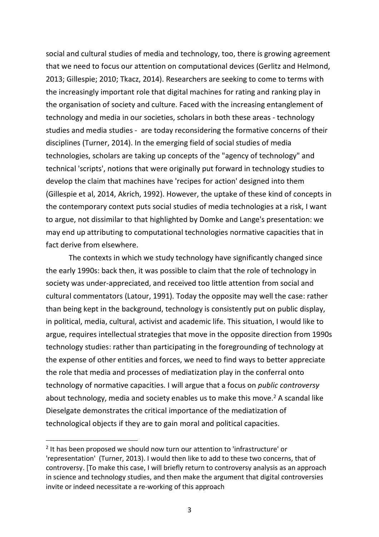social and cultural studies of media and technology, too, there is growing agreement that we need to focus our attention on computational devices (Gerlitz and Helmond, 2013; Gillespie; 2010; Tkacz, 2014). Researchers are seeking to come to terms with the increasingly important role that digital machines for rating and ranking play in the organisation of society and culture. Faced with the increasing entanglement of technology and media in our societies, scholars in both these areas - technology studies and media studies - are today reconsidering the formative concerns of their disciplines (Turner, 2014). In the emerging field of social studies of media technologies, scholars are taking up concepts of the "agency of technology" and technical 'scripts', notions that were originally put forward in technology studies to develop the claim that machines have 'recipes for action' designed into them (Gillespie et al, 2014, Akrich, 1992). However, the uptake of these kind of concepts in the contemporary context puts social studies of media technologies at a risk, I want to argue, not dissimilar to that highlighted by Domke and Lange's presentation: we may end up attributing to computational technologies normative capacities that in fact derive from elsewhere.

The contexts in which we study technology have significantly changed since the early 1990s: back then, it was possible to claim that the role of technology in society was under-appreciated, and received too little attention from social and cultural commentators (Latour, 1991). Today the opposite may well the case: rather than being kept in the background, technology is consistently put on public display, in political, media, cultural, activist and academic life. This situation, I would like to argue, requires intellectual strategies that move in the opposite direction from 1990s technology studies: rather than participating in the foregrounding of technology at the expense of other entities and forces, we need to find ways to better appreciate the role that media and processes of mediatization play in the conferral onto technology of normative capacities. I will argue that a focus on *public controversy* about technology, media and society enables us to make this move.<sup>2</sup> A scandal like Dieselgate demonstrates the critical importance of the mediatization of technological objects if they are to gain moral and political capacities.

<sup>&</sup>lt;sup>2</sup> It has been proposed we should now turn our attention to 'infrastructure' or 'representation' (Turner, 2013). I would then like to add to these two concerns, that of controversy. [To make this case, I will briefly return to controversy analysis as an approach in science and technology studies, and then make the argument that digital controversies invite or indeed necessitate a re-working of this approach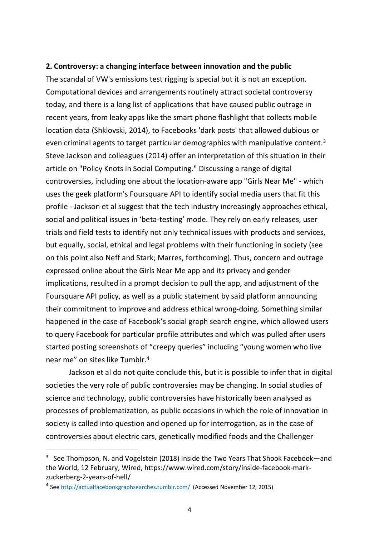## **2. Controversy: a changing interface between innovation and the public**

The scandal of VW's emissions test rigging is special but it is not an exception. Computational devices and arrangements routinely attract societal controversy today, and there is a long list of applications that have caused public outrage in recent years, from leaky apps like the smart phone flashlight that collects mobile location data (Shklovski, 2014), to Facebooks 'dark posts' that allowed dubious or even criminal agents to target particular demographics with manipulative content.<sup>3</sup> Steve Jackson and colleagues (2014) offer an interpretation of this situation in their article on "Policy Knots in Social Computing." Discussing a range of digital controversies, including one about the location-aware app "Girls Near Me" - which uses the geek platform's Foursquare API to identify social media users that fit this profile - Jackson et al suggest that the tech industry increasingly approaches ethical, social and political issues in 'beta-testing' mode. They rely on early releases, user trials and field tests to identify not only technical issues with products and services, but equally, social, ethical and legal problems with their functioning in society (see on this point also Neff and Stark; Marres, forthcoming). Thus, concern and outrage expressed online about the Girls Near Me app and its privacy and gender implications, resulted in a prompt decision to pull the app, and adjustment of the Foursquare API policy, as well as a public statement by said platform announcing their commitment to improve and address ethical wrong-doing. Something similar happened in the case of Facebook's social graph search engine, which allowed users to query Facebook for particular profile attributes and which was pulled after users started posting screenshots of "creepy queries" including "young women who live near me" on sites like Tumblr.4

Jackson et al do not quite conclude this, but it is possible to infer that in digital societies the very role of public controversies may be changing. In social studies of science and technology, public controversies have historically been analysed as processes of problematization, as public occasions in which the role of innovation in society is called into question and opened up for interrogation, as in the case of controversies about electric cars, genetically modified foods and the Challenger

<sup>&</sup>lt;sup>3</sup> See Thompson, N. and Vogelstein (2018) Inside the Two Years That Shook Facebook—and the World, 12 February, Wired, https://www.wired.com/story/inside-facebook-markzuckerberg-2-years-of-hell/

<sup>4</sup> See http://actualfacebookgraphsearches.tumblr.com/ (Accessed November 12, 2015)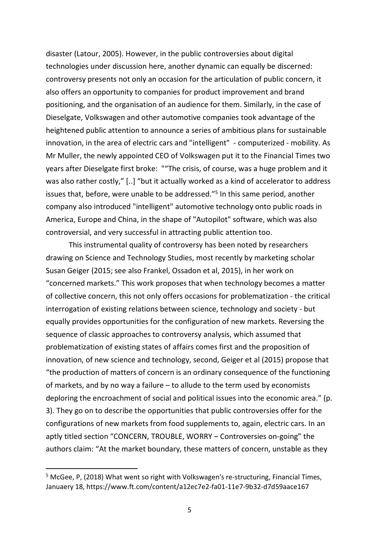disaster (Latour, 2005). However, in the public controversies about digital technologies under discussion here, another dynamic can equally be discerned: controversy presents not only an occasion for the articulation of public concern, it also offers an opportunity to companies for product improvement and brand positioning, and the organisation of an audience for them. Similarly, in the case of Dieselgate, Volkswagen and other automotive companies took advantage of the heightened public attention to announce a series of ambitious plans for sustainable innovation, in the area of electric cars and "intelligent" - computerized - mobility. As Mr Muller, the newly appointed CEO of Volkswagen put it to the Financial Times two years after Dieselgate first broke: ""The crisis, of course, was a huge problem and it was also rather costly," [..] "but it actually worked as a kind of accelerator to address issues that, before, were unable to be addressed."5 In this same period, another company also introduced "intelligent" automotive technology onto public roads in America, Europe and China, in the shape of "Autopilot" software, which was also controversial, and very successful in attracting public attention too.

This instrumental quality of controversy has been noted by researchers drawing on Science and Technology Studies, most recently by marketing scholar Susan Geiger (2015; see also Frankel, Ossadon et al, 2015), in her work on "concerned markets." This work proposes that when technology becomes a matter of collective concern, this not only offers occasions for problematization - the critical interrogation of existing relations between science, technology and society - but equally provides opportunities for the configuration of new markets. Reversing the sequence of classic approaches to controversy analysis, which assumed that problematization of existing states of affairs comes first and the proposition of innovation, of new science and technology, second, Geiger et al (2015) propose that "the production of matters of concern is an ordinary consequence of the functioning of markets, and by no way a failure – to allude to the term used by economists deploring the encroachment of social and political issues into the economic area." (p. 3). They go on to describe the opportunities that public controversies offer for the configurations of new markets from food supplements to, again, electric cars. In an aptly titled section "CONCERN, TROUBLE, WORRY – Controversies on-going" the authors claim: "At the market boundary, these matters of concern, unstable as they

<sup>&</sup>lt;sup>5</sup> McGee, P, (2018) What went so right with Volkswagen's re-structuring, Financial Times, Januaery 18, https://www.ft.com/content/a12ec7e2-fa01-11e7-9b32-d7d59aace167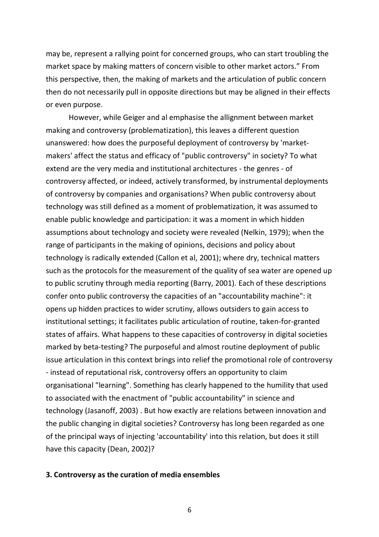may be, represent a rallying point for concerned groups, who can start troubling the market space by making matters of concern visible to other market actors." From this perspective, then, the making of markets and the articulation of public concern then do not necessarily pull in opposite directions but may be aligned in their effects or even purpose.

However, while Geiger and al emphasise the allignment between market making and controversy (problematization), this leaves a different question unanswered: how does the purposeful deployment of controversy by 'marketmakers' affect the status and efficacy of "public controversy" in society? To what extend are the very media and institutional architectures - the genres - of controversy affected, or indeed, actively transformed, by instrumental deployments of controversy by companies and organisations? When public controversy about technology was still defined as a moment of problematization, it was assumed to enable public knowledge and participation: it was a moment in which hidden assumptions about technology and society were revealed (Nelkin, 1979); when the range of participants in the making of opinions, decisions and policy about technology is radically extended (Callon et al, 2001); where dry, technical matters such as the protocols for the measurement of the quality of sea water are opened up to public scrutiny through media reporting (Barry, 2001). Each of these descriptions confer onto public controversy the capacities of an "accountability machine": it opens up hidden practices to wider scrutiny, allows outsiders to gain access to institutional settings; it facilitates public articulation of routine, taken-for-granted states of affairs. What happens to these capacities of controversy in digital societies marked by beta-testing? The purposeful and almost routine deployment of public issue articulation in this context brings into relief the promotional role of controversy - instead of reputational risk, controversy offers an opportunity to claim organisational "learning". Something has clearly happened to the humility that used to associated with the enactment of "public accountability" in science and technology (Jasanoff, 2003) . But how exactly are relations between innovation and the public changing in digital societies? Controversy has long been regarded as one of the principal ways of injecting 'accountability' into this relation, but does it still have this capacity (Dean, 2002)?

## **3. Controversy as the curation of media ensembles**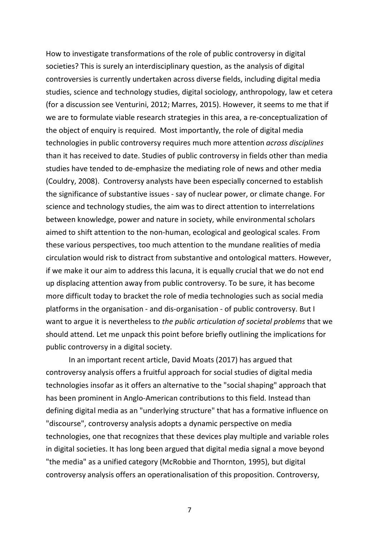How to investigate transformations of the role of public controversy in digital societies? This is surely an interdisciplinary question, as the analysis of digital controversies is currently undertaken across diverse fields, including digital media studies, science and technology studies, digital sociology, anthropology, law et cetera (for a discussion see Venturini, 2012; Marres, 2015). However, it seems to me that if we are to formulate viable research strategies in this area, a re-conceptualization of the object of enquiry is required. Most importantly, the role of digital media technologies in public controversy requires much more attention *across disciplines* than it has received to date. Studies of public controversy in fields other than media studies have tended to de-emphasize the mediating role of news and other media (Couldry, 2008). Controversy analysts have been especially concerned to establish the significance of substantive issues - say of nuclear power, or climate change. For science and technology studies, the aim was to direct attention to interrelations between knowledge, power and nature in society, while environmental scholars aimed to shift attention to the non-human, ecological and geological scales. From these various perspectives, too much attention to the mundane realities of media circulation would risk to distract from substantive and ontological matters. However, if we make it our aim to address this lacuna, it is equally crucial that we do not end up displacing attention away from public controversy. To be sure, it has become more difficult today to bracket the role of media technologies such as social media platforms in the organisation - and dis-organisation - of public controversy. But I want to argue it is nevertheless to *the public articulation of societal problems* that we should attend. Let me unpack this point before briefly outlining the implications for public controversy in a digital society.

In an important recent article, David Moats (2017) has argued that controversy analysis offers a fruitful approach for social studies of digital media technologies insofar as it offers an alternative to the "social shaping" approach that has been prominent in Anglo-American contributions to this field. Instead than defining digital media as an "underlying structure" that has a formative influence on "discourse", controversy analysis adopts a dynamic perspective on media technologies, one that recognizes that these devices play multiple and variable roles in digital societies. It has long been argued that digital media signal a move beyond "the media" as a unified category (McRobbie and Thornton, 1995), but digital controversy analysis offers an operationalisation of this proposition. Controversy,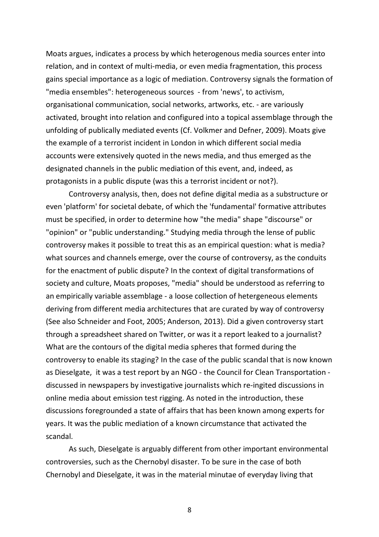Moats argues, indicates a process by which heterogenous media sources enter into relation, and in context of multi-media, or even media fragmentation, this process gains special importance as a logic of mediation. Controversy signals the formation of "media ensembles": heterogeneous sources - from 'news', to activism, organisational communication, social networks, artworks, etc. - are variously activated, brought into relation and configured into a topical assemblage through the unfolding of publically mediated events (Cf. Volkmer and Defner, 2009). Moats give the example of a terrorist incident in London in which different social media accounts were extensively quoted in the news media, and thus emerged as the designated channels in the public mediation of this event, and, indeed, as protagonists in a public dispute (was this a terrorist incident or not?).

Controversy analysis, then, does not define digital media as a substructure or even 'platform' for societal debate, of which the 'fundamental' formative attributes must be specified, in order to determine how "the media" shape "discourse" or "opinion" or "public understanding." Studying media through the lense of public controversy makes it possible to treat this as an empirical question: what is media? what sources and channels emerge, over the course of controversy, as the conduits for the enactment of public dispute? In the context of digital transformations of society and culture, Moats proposes, "media" should be understood as referring to an empirically variable assemblage - a loose collection of hetergeneous elements deriving from different media architectures that are curated by way of controversy (See also Schneider and Foot, 2005; Anderson, 2013). Did a given controversy start through a spreadsheet shared on Twitter, or was it a report leaked to a journalist? What are the contours of the digital media spheres that formed during the controversy to enable its staging? In the case of the public scandal that is now known as Dieselgate, it was a test report by an NGO - the Council for Clean Transportation discussed in newspapers by investigative journalists which re-ingited discussions in online media about emission test rigging. As noted in the introduction, these discussions foregrounded a state of affairs that has been known among experts for years. It was the public mediation of a known circumstance that activated the scandal.

As such, Dieselgate is arguably different from other important environmental controversies, such as the Chernobyl disaster. To be sure in the case of both Chernobyl and Dieselgate, it was in the material minutae of everyday living that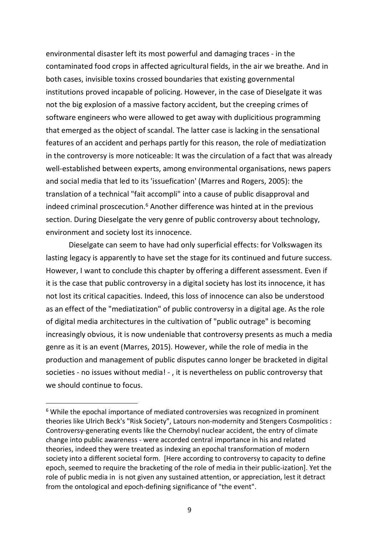environmental disaster left its most powerful and damaging traces - in the contaminated food crops in affected agricultural fields, in the air we breathe. And in both cases, invisible toxins crossed boundaries that existing governmental institutions proved incapable of policing. However, in the case of Dieselgate it was not the big explosion of a massive factory accident, but the creeping crimes of software engineers who were allowed to get away with duplicitious programming that emerged as the object of scandal. The latter case is lacking in the sensational features of an accident and perhaps partly for this reason, the role of mediatization in the controversy is more noticeable: It was the circulation of a fact that was already well-established between experts, among environmental organisations, news papers and social media that led to its 'issuefication' (Marres and Rogers, 2005): the translation of a technical "fait accompli" into a cause of public disapproval and indeed criminal proscecution. <sup>6</sup> Another difference was hinted at in the previous section. During Dieselgate the very genre of public controversy about technology, environment and society lost its innocence.

Dieselgate can seem to have had only superficial effects: for Volkswagen its lasting legacy is apparently to have set the stage for its continued and future success. However, I want to conclude this chapter by offering a different assessment. Even if it is the case that public controversy in a digital society has lost its innocence, it has not lost its critical capacities. Indeed, this loss of innocence can also be understood as an effect of the "mediatization" of public controversy in a digital age. As the role of digital media architectures in the cultivation of "public outrage" is becoming increasingly obvious, it is now undeniable that controversy presents as much a media genre as it is an event (Marres, 2015). However, while the role of media in the production and management of public disputes canno longer be bracketed in digital societies - no issues without media! - , it is nevertheless on public controversy that we should continue to focus.

 $6$  While the epochal importance of mediated controversies was recognized in prominent theories like Ulrich Beck's "Risk Society", Latours non-modernity and Stengers Cosmpolitics : Controversy-generating events like the Chernobyl nuclear accident, the entry of climate change into public awareness - were accorded central importance in his and related theories, indeed they were treated as indexing an epochal transformation of modern society into a different societal form. [Here according to controversy to capacity to define epoch, seemed to require the bracketing of the role of media in their public-ization]. Yet the role of public media in is not given any sustained attention, or appreciation, lest it detract from the ontological and epoch-defining significance of "the event".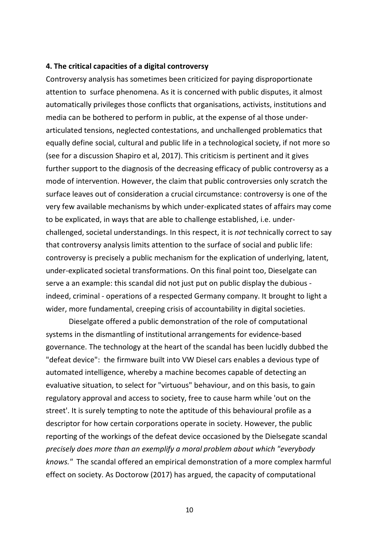## **4. The critical capacities of a digital controversy**

Controversy analysis has sometimes been criticized for paying disproportionate attention to surface phenomena. As it is concerned with public disputes, it almost automatically privileges those conflicts that organisations, activists, institutions and media can be bothered to perform in public, at the expense of al those underarticulated tensions, neglected contestations, and unchallenged problematics that equally define social, cultural and public life in a technological society, if not more so (see for a discussion Shapiro et al, 2017). This criticism is pertinent and it gives further support to the diagnosis of the decreasing efficacy of public controversy as a mode of intervention. However, the claim that public controversies only scratch the surface leaves out of consideration a crucial circumstance: controversy is one of the very few available mechanisms by which under-explicated states of affairs may come to be explicated, in ways that are able to challenge established, i.e. underchallenged, societal understandings. In this respect, it is *not* technically correct to say that controversy analysis limits attention to the surface of social and public life: controversy is precisely a public mechanism for the explication of underlying, latent, under-explicated societal transformations. On this final point too, Dieselgate can serve a an example: this scandal did not just put on public display the dubious indeed, criminal - operations of a respected Germany company. It brought to light a wider, more fundamental, creeping crisis of accountability in digital societies.

Dieselgate offered a public demonstration of the role of computational systems in the dismantling of institutional arrangements for evidence-based governance. The technology at the heart of the scandal has been lucidly dubbed the "defeat device": the firmware built into VW Diesel cars enables a devious type of automated intelligence, whereby a machine becomes capable of detecting an evaluative situation, to select for "virtuous" behaviour, and on this basis, to gain regulatory approval and access to society, free to cause harm while 'out on the street'. It is surely tempting to note the aptitude of this behavioural profile as a descriptor for how certain corporations operate in society. However, the public reporting of the workings of the defeat device occasioned by the Dielsegate scandal *precisely does more than an exemplify a moral problem about which "everybody knows."* The scandal offered an empirical demonstration of a more complex harmful effect on society. As Doctorow (2017) has argued, the capacity of computational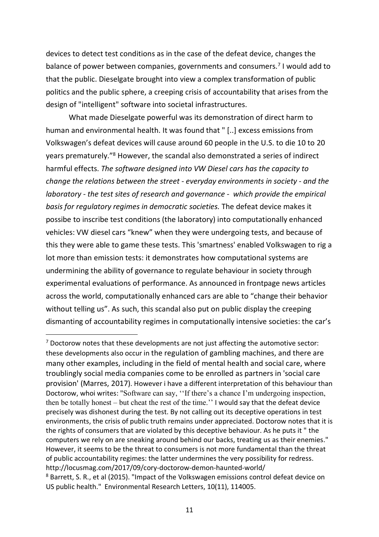devices to detect test conditions as in the case of the defeat device, changes the balance of power between companies, governments and consumers.<sup>7</sup> I would add to that the public. Dieselgate brought into view a complex transformation of public politics and the public sphere, a creeping crisis of accountability that arises from the design of "intelligent" software into societal infrastructures.

What made Dieselgate powerful was its demonstration of direct harm to human and environmental health. It was found that " [..] excess emissions from Volkswagen's defeat devices will cause around 60 people in the U.S. to die 10 to 20 years prematurely."8 However, the scandal also demonstrated a series of indirect harmful effects. *The software designed into VW Diesel cars has the capacity to change the relations between the street - everyday environments in society - and the laboratory - the test sites of research and governance - which provide the empirical basis for regulatory regimes in democratic societies.* The defeat device makes it possibe to inscribe test conditions (the laboratory) into computationally enhanced vehicles: VW diesel cars "knew" when they were undergoing tests, and because of this they were able to game these tests. This 'smartness' enabled Volkswagen to rig a lot more than emission tests: it demonstrates how computational systems are undermining the ability of governance to regulate behaviour in society through experimental evaluations of performance. As announced in frontpage news articles across the world, computationally enhanced cars are able to "change their behavior without telling us". As such, this scandal also put on public display the creeping dismanting of accountability regimes in computationally intensive societies: the car's

 $<sup>7</sup>$  Doctorow notes that these developments are not just affecting the automotive sector:</sup> these developments also occur in the regulation of gambling machines, and there are many other examples, including in the field of mental health and social care, where troublingly social media companies come to be enrolled as partners in 'social care provision' (Marres, 2017). However i have a different interpretation of this behaviour than Doctorow, whoi writes: "Software can say, ''If there's a chance I'm undergoing inspection, then be totally honest – but cheat the rest of the time.'' I would say that the defeat device precisely was dishonest during the test. By not calling out its deceptive operations in test environments, the crisis of public truth remains under appreciated. Doctorow notes that it is the rights of consumers that are violated by this deceptive behaviour. As he puts it " the computers we rely on are sneaking around behind our backs, treating us as their enemies." However, it seems to be the threat to consumers is not more fundamental than the threat of public accountability regimes: the latter undermines the very possibility for redress. http://locusmag.com/2017/09/cory-doctorow-demon-haunted-world/<br><sup>8</sup> Barrett, S. R., et al (2015). "Impact of the Volkswagen emissions control defeat device on US public health." Environmental Research Letters, 10(11), 114005.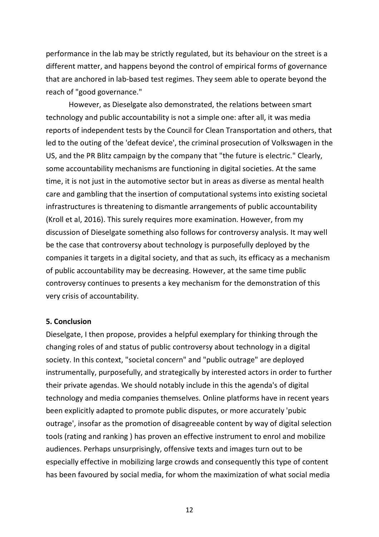performance in the lab may be strictly regulated, but its behaviour on the street is a different matter, and happens beyond the control of empirical forms of governance that are anchored in lab-based test regimes. They seem able to operate beyond the reach of "good governance."

However, as Dieselgate also demonstrated, the relations between smart technology and public accountability is not a simple one: after all, it was media reports of independent tests by the Council for Clean Transportation and others, that led to the outing of the 'defeat device', the criminal prosecution of Volkswagen in the US, and the PR Blitz campaign by the company that "the future is electric." Clearly, some accountability mechanisms are functioning in digital societies. At the same time, it is not just in the automotive sector but in areas as diverse as mental health care and gambling that the insertion of computational systems into existing societal infrastructures is threatening to dismantle arrangements of public accountability (Kroll et al, 2016). This surely requires more examination. However, from my discussion of Dieselgate something also follows for controversy analysis. It may well be the case that controversy about technology is purposefully deployed by the companies it targets in a digital society, and that as such, its efficacy as a mechanism of public accountability may be decreasing. However, at the same time public controversy continues to presents a key mechanism for the demonstration of this very crisis of accountability.

## **5. Conclusion**

Dieselgate, I then propose, provides a helpful exemplary for thinking through the changing roles of and status of public controversy about technology in a digital society. In this context, "societal concern" and "public outrage" are deployed instrumentally, purposefully, and strategically by interested actors in order to further their private agendas. We should notably include in this the agenda's of digital technology and media companies themselves. Online platforms have in recent years been explicitly adapted to promote public disputes, or more accurately 'pubic outrage', insofar as the promotion of disagreeable content by way of digital selection tools (rating and ranking ) has proven an effective instrument to enrol and mobilize audiences. Perhaps unsurprisingly, offensive texts and images turn out to be especially effective in mobilizing large crowds and consequently this type of content has been favoured by social media, for whom the maximization of what social media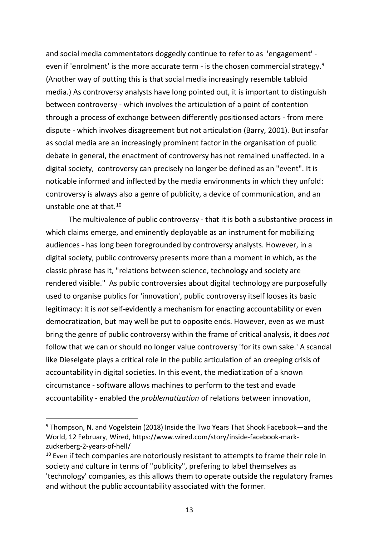and social media commentators doggedly continue to refer to as 'engagement' even if 'enrolment' is the more accurate term - is the chosen commercial strategy.<sup>9</sup> (Another way of putting this is that social media increasingly resemble tabloid media.) As controversy analysts have long pointed out, it is important to distinguish between controversy - which involves the articulation of a point of contention through a process of exchange between differently positionsed actors - from mere dispute - which involves disagreement but not articulation (Barry, 2001). But insofar as social media are an increasingly prominent factor in the organisation of public debate in general, the enactment of controversy has not remained unaffected. In a digital society, controversy can precisely no longer be defined as an "event". It is noticable informed and inflected by the media environments in which they unfold: controversy is always also a genre of publicity, a device of communication, and an unstable one at that.10

The multivalence of public controversy - that it is both a substantive process in which claims emerge, and eminently deployable as an instrument for mobilizing audiences - has long been foregrounded by controversy analysts. However, in a digital society, public controversy presents more than a moment in which, as the classic phrase has it, "relations between science, technology and society are rendered visible." As public controversies about digital technology are purposefully used to organise publics for 'innovation', public controversy itself looses its basic legitimacy: it is *not* self-evidently a mechanism for enacting accountability or even democratization, but may well be put to opposite ends. However, even as we must bring the genre of public controversy within the frame of critical analysis, it does *not* follow that we can or should no longer value controversy 'for its own sake.' A scandal like Dieselgate plays a critical role in the public articulation of an creeping crisis of accountability in digital societies. In this event, the mediatization of a known circumstance - software allows machines to perform to the test and evade accountability - enabled the *problematization* of relations between innovation,

<sup>&</sup>lt;sup>9</sup> Thompson, N. and Vogelstein (2018) Inside the Two Years That Shook Facebook—and the World, 12 February, Wired, https://www.wired.com/story/inside-facebook-markzuckerberg-2-years-of-hell/

 $10$  Even if tech companies are notoriously resistant to attempts to frame their role in society and culture in terms of "publicity", prefering to label themselves as 'technology' companies, as this allows them to operate outside the regulatory frames and without the public accountability associated with the former.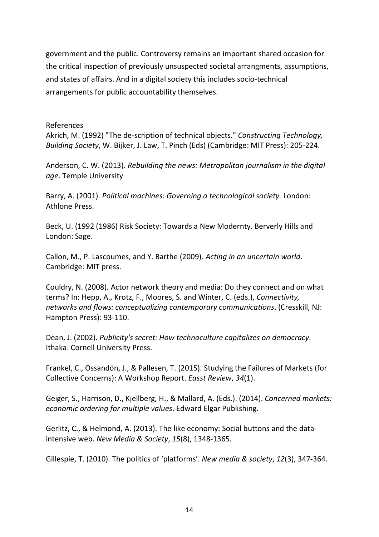government and the public. Controversy remains an important shared occasion for the critical inspection of previously unsuspected societal arrangments, assumptions, and states of affairs. And in a digital society this includes socio-technical arrangements for public accountability themselves.

## References

Akrich, M. (1992) "The de-scription of technical objects." *Constructing Technology, Building Society*, W. Bijker, J. Law, T. Pinch (Eds) (Cambridge: MIT Press): 205-224.

Anderson, C. W. (2013). *Rebuilding the news: Metropolitan journalism in the digital age*. Temple University

Barry, A. (2001). *Political machines: Governing a technological society.* London: Athlone Press.

Beck, U. (1992 (1986) Risk Society: Towards a New Modernty. Berverly Hills and London: Sage.

Callon, M., P. Lascoumes, and Y. Barthe (2009). *Acting in an uncertain world*. Cambridge: MIT press.

Couldry, N. (2008). Actor network theory and media: Do they connect and on what terms? In: Hepp, A., Krotz, F., Moores, S. and Winter, C. (eds.), *Connectivity, networks and flows: conceptualizing contemporary communications*. (Cresskill, NJ: Hampton Press): 93-110.

Dean, J. (2002). *Publicity's secret: How technoculture capitalizes on democracy*. Ithaka: Cornell University Press.

Frankel, C., Ossandón, J., & Pallesen, T. (2015). Studying the Failures of Markets (for Collective Concerns): A Workshop Report. *Easst Review*, *34*(1).

Geiger, S., Harrison, D., Kjellberg, H., & Mallard, A. (Eds.). (2014). *Concerned markets: economic ordering for multiple values*. Edward Elgar Publishing.

Gerlitz, C., & Helmond, A. (2013). The like economy: Social buttons and the dataintensive web. *New Media & Society*, *15*(8), 1348-1365.

Gillespie, T. (2010). The politics of 'platforms'. *New media & society*, *12*(3), 347-364.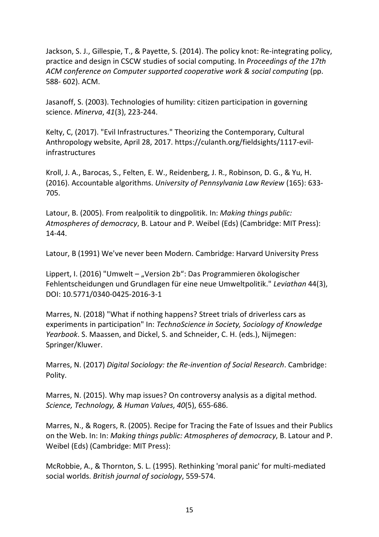Jackson, S. J., Gillespie, T., & Payette, S. (2014). The policy knot: Re-integrating policy, practice and design in CSCW studies of social computing. In *Proceedings of the 17th*  ACM conference on Computer supported cooperative work & social computing (pp. 588- 602). ACM.

Jasanoff, S. (2003). Technologies of humility: citizen participation in governing science. *Minerva*, *41*(3), 223-244.

Kelty, C, (2017). "Evil Infrastructures." Theorizing the Contemporary, Cultural Anthropology website, April 28, 2017. https://culanth.org/fieldsights/1117-evilinfrastructures

Kroll, J. A., Barocas, S., Felten, E. W., Reidenberg, J. R., Robinson, D. G., & Yu, H. (2016). Accountable algorithms. *University of Pennsylvania Law Review* (165): 633- 705.

Latour, B. (2005). From realpolitik to dingpolitik. In: *Making things public: Atmospheres of democracy*, B. Latour and P. Weibel (Eds) (Cambridge: MIT Press): 14-44.

Latour, B (1991) We've never been Modern. Cambridge: Harvard University Press

Lippert, I. (2016) "Umwelt – "Version 2b": Das Programmieren ökologischer Fehlentscheidungen und Grundlagen für eine neue Umweltpolitik." *Leviathan* 44(3), DOI: 10.5771/0340-0425-2016-3-1

Marres, N. (2018) "What if nothing happens? Street trials of driverless cars as experiments in participation" In: *TechnoScience in Society, Sociology of Knowledge Yearbook*. S. Maassen, and Dickel, S. and Schneider, C. H. (eds.), Nijmegen: Springer/Kluwer.

Marres, N. (2017) *Digital Sociology: the Re-invention of Social Research*. Cambridge: Polity.

Marres, N. (2015). Why map issues? On controversy analysis as a digital method. *Science, Technology, & Human Values*, *40*(5), 655-686.

Marres, N., & Rogers, R. (2005). Recipe for Tracing the Fate of Issues and their Publics on the Web. In: In: *Making things public: Atmospheres of democracy*, B. Latour and P. Weibel (Eds) (Cambridge: MIT Press):

McRobbie, A., & Thornton, S. L. (1995). Rethinking 'moral panic' for multi-mediated social worlds. *British journal of sociology*, 559-574.